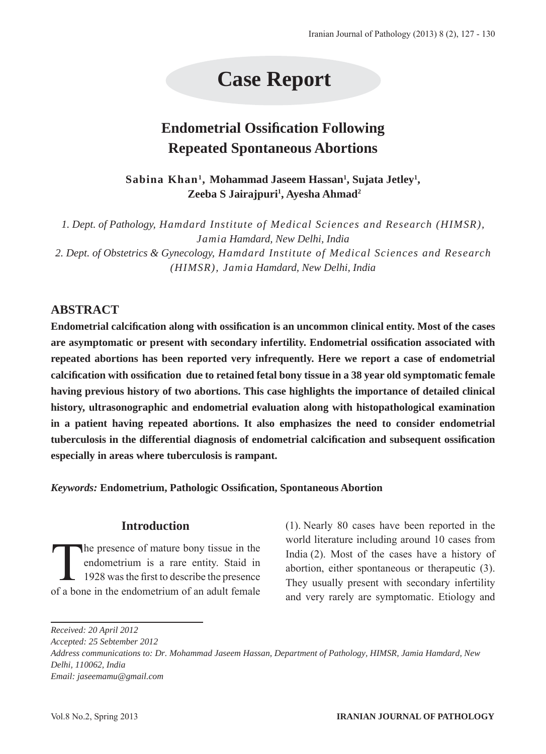# **Case Report**

# **Endometrial Ossification Following Repeated Spontaneous Abortions**

**Sabina Khan1, Mohammad Jaseem Hassan1 , Sujata Jetley1 , Zeeba S Jairajpuri1 , Ayesha Ahmad2**

*1. Dept. of Pathology, Hamdard Institute of Medical Sciences and Research (HIMSR), Jamia Hamdard, New Delhi, India 2. Dept. of Obstetrics & Gynecology, Hamdard Institute of Medical Sciences and Research (HIMSR), Jamia Hamdard, New Delhi, India*

## **ABSTRACT**

**Endometrial calcification along with ossification is an uncommon clinical entity. Most of the cases**  are asymptomatic or present with secondary infertility. Endometrial ossification associated with **repeated abortions has been reported very infrequently. Here we report a case of endometrial calcification with ossification due to retained fetal bony tissue in a 38 year old symptomatic female having previous history of two abortions. This case highlights the importance of detailed clinical history, ultrasonographic and endometrial evaluation along with histopathological examination in a patient having repeated abortions. It also emphasizes the need to consider endometrial tuberculosis in the differential diagnosis of endometrial calcification and subsequent ossification especially in areas where tuberculosis is rampant.**

*Keywords:* **Endometrium, Pathologic Ossification, Spontaneous Abortion**

### **Introduction**

The presence of mature bony tissue in the<br>endometrium is a rare entity. Staid in<br>1928 was the first to describe the presence endometrium is a rare entity. Staid in 1928 was the first to describe the presence of a bone in the endometrium of an adult female

(1). Nearly 80 cases have been reported in the world literature including around 10 cases from India (2). Most of the cases have a history of abortion, either spontaneous or therapeutic (3). They usually present with secondary infertility and very rarely are symptomatic. Etiology and

*Received: 20 April 2012*

*Accepted: 25 Sebtember 2012*

*Address communications to: Dr. Mohammad Jaseem Hassan, Department of Pathology, HIMSR, Jamia Hamdard, New Delhi, 110062, India Email: jaseemamu@gmail.com*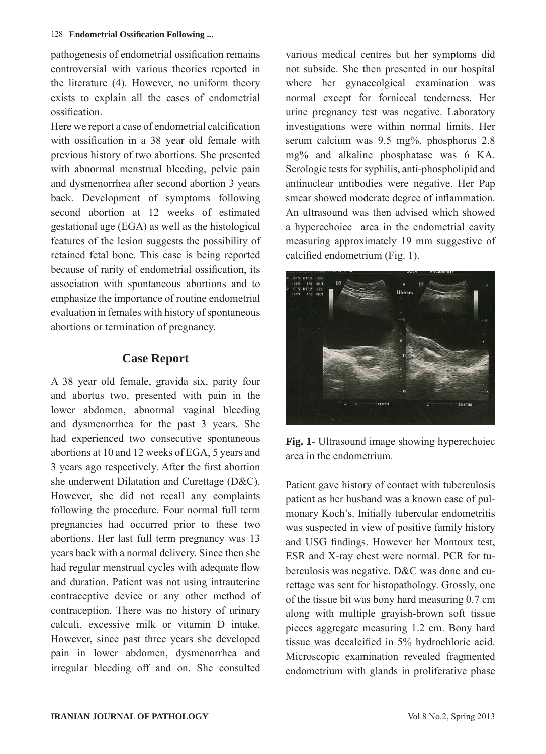pathogenesis of endometrial ossification remains controversial with various theories reported in the literature (4). However, no uniform theory exists to explain all the cases of endometrial ossification.

Here we report a case of endometrial calcification with ossification in a 38 year old female with previous history of two abortions. She presented with abnormal menstrual bleeding, pelvic pain and dysmenorrhea after second abortion 3 years back. Development of symptoms following second abortion at 12 weeks of estimated gestational age (EGA) as well as the histological features of the lesion suggests the possibility of retained fetal bone. This case is being reported because of rarity of endometrial ossification, its association with spontaneous abortions and to emphasize the importance of routine endometrial evaluation in females with history of spontaneous abortions or termination of pregnancy.

### **Case Report**

A 38 year old female, gravida six, parity four and abortus two, presented with pain in the lower abdomen, abnormal vaginal bleeding and dysmenorrhea for the past 3 years. She had experienced two consecutive spontaneous abortions at 10 and 12 weeks of EGA, 5 years and 3 years ago respectively. After the first abortion she underwent Dilatation and Curettage (D&C). However, she did not recall any complaints following the procedure. Four normal full term pregnancies had occurred prior to these two abortions. Her last full term pregnancy was 13 years back with a normal delivery. Since then she had regular menstrual cycles with adequate flow and duration. Patient was not using intrauterine contraceptive device or any other method of contraception. There was no history of urinary calculi, excessive milk or vitamin D intake. However, since past three years she developed pain in lower abdomen, dysmenorrhea and irregular bleeding off and on. She consulted

various medical centres but her symptoms did not subside. She then presented in our hospital where her gynaecolgical examination was normal except for forniceal tenderness. Her urine pregnancy test was negative. Laboratory investigations were within normal limits. Her serum calcium was 9.5 mg%, phosphorus 2.8 mg% and alkaline phosphatase was 6 KA. Serologic tests for syphilis, anti-phospholipid and antinuclear antibodies were negative. Her Pap smear showed moderate degree of inflammation. An ultrasound was then advised which showed a hyperechoiec area in the endometrial cavity measuring approximately 19 mm suggestive of calcified endometrium (Fig. 1).



**Fig. 1-** Ultrasound image showing hyperechoiec area in the endometrium.

Patient gave history of contact with tuberculosis patient as her husband was a known case of pulmonary Koch's. Initially tubercular endometritis was suspected in view of positive family history and USG findings. However her Montoux test, ESR and X-ray chest were normal. PCR for tuberculosis was negative. D&C was done and curettage was sent for histopathology. Grossly, one of the tissue bit was bony hard measuring 0.7 cm along with multiple grayish-brown soft tissue pieces aggregate measuring 1.2 cm. Bony hard tissue was decalcified in 5% hydrochloric acid. Microscopic examination revealed fragmented endometrium with glands in proliferative phase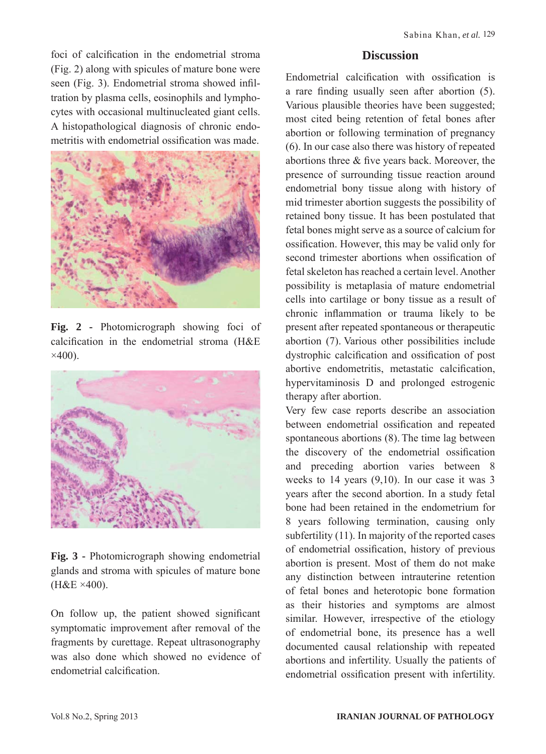foci of calcification in the endometrial stroma (Fig. 2) along with spicules of mature bone were seen (Fig. 3). Endometrial stroma showed infiltration by plasma cells, eosinophils and lymphocytes with occasional multinucleated giant cells. A histopathological diagnosis of chronic endometritis with endometrial ossification was made.



**Fig. 2 -** Photomicrograph showing foci of calcification in the endometrial stroma (H&E  $\times$ 400).



**Fig. 3 -** Photomicrograph showing endometrial glands and stroma with spicules of mature bone (H&E ×400).

On follow up, the patient showed significant symptomatic improvement after removal of the fragments by curettage. Repeat ultrasonography was also done which showed no evidence of endometrial calcification.

#### **Discussion**

Endometrial calcification with ossification is a rare finding usually seen after abortion (5). Various plausible theories have been suggested; most cited being retention of fetal bones after abortion or following termination of pregnancy (6). In our case also there was history of repeated abortions three & five years back. Moreover, the presence of surrounding tissue reaction around endometrial bony tissue along with history of mid trimester abortion suggests the possibility of retained bony tissue. It has been postulated that fetal bones might serve as a source of calcium for ossification. However, this may be valid only for second trimester abortions when ossification of fetal skeleton has reached a certain level. Another possibility is metaplasia of mature endometrial cells into cartilage or bony tissue as a result of chronic inflammation or trauma likely to be present after repeated spontaneous or therapeutic abortion (7). Various other possibilities include dystrophic calcification and ossification of post abortive endometritis, metastatic calcification, hypervitaminosis D and prolonged estrogenic therapy after abortion.

Very few case reports describe an association between endometrial ossification and repeated spontaneous abortions (8). The time lag between the discovery of the endometrial ossification and preceding abortion varies between 8 weeks to 14 years (9,10). In our case it was 3 years after the second abortion. In a study fetal bone had been retained in the endometrium for 8 years following termination, causing only subfertility (11). In majority of the reported cases of endometrial ossification, history of previous abortion is present. Most of them do not make any distinction between intrauterine retention of fetal bones and heterotopic bone formation as their histories and symptoms are almost similar. However, irrespective of the etiology of endometrial bone, its presence has a well documented causal relationship with repeated abortions and infertility. Usually the patients of endometrial ossification present with infertility.